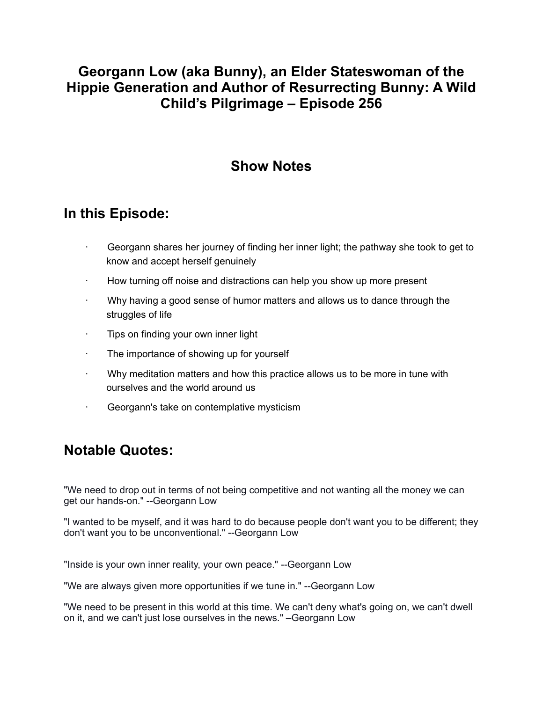### **Georgann Low (aka Bunny), an Elder Stateswoman of the Hippie Generation and Author of Resurrecting Bunny: A Wild Child's Pilgrimage – Episode 256**

## **Show Notes**

#### **In this Episode:**

- Georgann shares her journey of finding her inner light; the pathway she took to get to know and accept herself genuinely
- How turning off noise and distractions can help you show up more present
- · Why having a good sense of humor matters and allows us to dance through the struggles of life
- · Tips on finding your own inner light
- The importance of showing up for yourself
- · Why meditation matters and how this practice allows us to be more in tune with ourselves and the world around us
- Georgann's take on contemplative mysticism

# **Notable Quotes:**

"We need to drop out in terms of not being competitive and not wanting all the money we can get our hands-on." --Georgann Low

"I wanted to be myself, and it was hard to do because people don't want you to be different; they don't want you to be unconventional." --Georgann Low

"Inside is your own inner reality, your own peace." --Georgann Low

"We are always given more opportunities if we tune in." --Georgann Low

"We need to be present in this world at this time. We can't deny what's going on, we can't dwell on it, and we can't just lose ourselves in the news." –Georgann Low